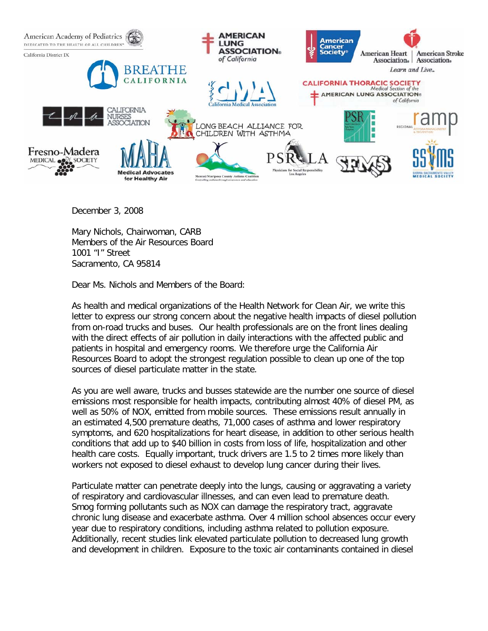

December 3, 2008

Mary Nichols, Chairwoman, CARB Members of the Air Resources Board 1001 "I" Street Sacramento, CA 95814

Dear Ms. Nichols and Members of the Board:

As health and medical organizations of the Health Network for Clean Air, we write this letter to express our strong concern about the negative health impacts of diesel pollution from on-road trucks and buses. Our health professionals are on the front lines dealing with the direct effects of air pollution in daily interactions with the affected public and patients in hospital and emergency rooms. We therefore urge the California Air Resources Board to adopt the strongest regulation possible to clean up one of the top sources of diesel particulate matter in the state.

As you are well aware, trucks and busses statewide are the number one source of diesel emissions most responsible for health impacts, contributing almost 40% of diesel PM, as well as 50% of NOX, emitted from mobile sources. These emissions result annually in an estimated 4,500 premature deaths, 71,000 cases of asthma and lower respiratory symptoms, and 620 hospitalizations for heart disease, in addition to other serious health conditions that add up to \$40 billion in costs from loss of life, hospitalization and other health care costs. Equally important, truck drivers are 1.5 to 2 times more likely than workers not exposed to diesel exhaust to develop lung cancer during their lives.

Particulate matter can penetrate deeply into the lungs, causing or aggravating a variety of respiratory and cardiovascular illnesses, and can even lead to premature death. Smog forming pollutants such as NOX can damage the respiratory tract, aggravate chronic lung disease and exacerbate asthma. Over 4 million school absences occur every year due to respiratory conditions, including asthma related to pollution exposure. Additionally, recent studies link elevated particulate pollution to decreased lung growth and development in children. Exposure to the toxic air contaminants contained in diesel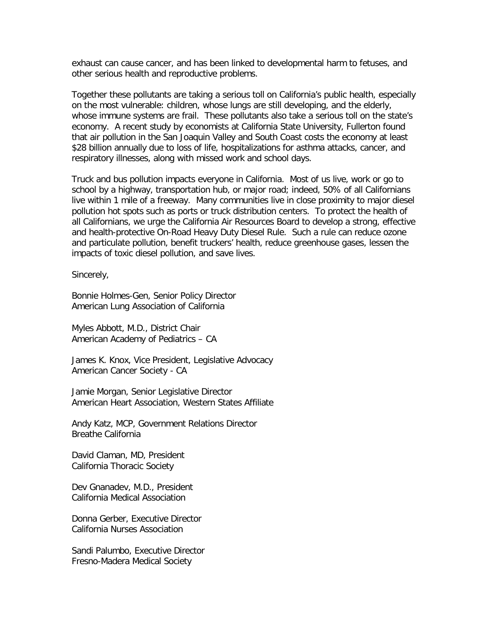exhaust can cause cancer, and has been linked to developmental harm to fetuses, and other serious health and reproductive problems.

Together these pollutants are taking a serious toll on California's public health, especially on the most vulnerable: children, whose lungs are still developing, and the elderly, whose immune systems are frail. These pollutants also take a serious toll on the state's economy. A recent study by economists at California State University, Fullerton found that air pollution in the San Joaquin Valley and South Coast costs the economy at least \$28 billion annually due to loss of life, hospitalizations for asthma attacks, cancer, and respiratory illnesses, along with missed work and school days.

Truck and bus pollution impacts everyone in California. Most of us live, work or go to school by a highway, transportation hub, or major road; indeed, 50% of all Californians live within 1 mile of a freeway. Many communities live in close proximity to major diesel pollution hot spots such as ports or truck distribution centers. To protect the health of all Californians, we urge the California Air Resources Board to develop a strong, effective and health-protective On-Road Heavy Duty Diesel Rule. Such a rule can reduce ozone and particulate pollution, benefit truckers' health, reduce greenhouse gases, lessen the impacts of toxic diesel pollution, and save lives.

Sincerely,

Bonnie Holmes-Gen, Senior Policy Director American Lung Association of California

Myles Abbott, M.D., District Chair American Academy of Pediatrics – CA

James K. Knox, Vice President, Legislative Advocacy American Cancer Society - CA

Jamie Morgan, Senior Legislative Director American Heart Association, Western States Affiliate

Andy Katz, MCP, Government Relations Director Breathe California

David Claman, MD, President California Thoracic Society

Dev Gnanadev, M.D., President California Medical Association

Donna Gerber, Executive Director California Nurses Association

Sandi Palumbo, Executive Director Fresno-Madera Medical Society